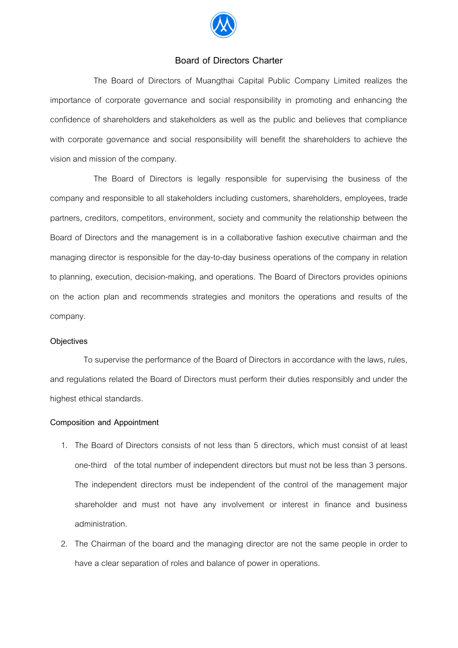

## **Board of Directors Charter**

The Board of Directors of Muangthai Capital Public Company Limited realizes the importance of corporate governance and social responsibility in promoting and enhancing the confidence of shareholders and stakeholders as well as the public and believes that compliance with corporate governance and social responsibility will benefit the shareholders to achieve the vision and mission of the company.

The Board of Directors is legally responsible for supervising the business of the company and responsible to all stakeholders including customers, shareholders, employees, trade partners, creditors, competitors, environment, society and community the relationship between the Board of Directors and the management is in a collaborative fashion executive chairman and the managing director is responsible for the day-to-day business operations of the company in relation to planning, execution, decision-making, and operations. The Board of Directors provides opinions on the action plan and recommends strategies and monitors the operations and results of the company.

#### **Objectives**

 To supervise the performance of the Board of Directors in accordance with the laws, rules, and regulations related the Board of Directors must perform their duties responsibly and under the highest ethical standards.

#### **Composition and Appointment**

- 1. The Board of Directors consists of not less than 5 directors, which must consist of at least one-third of the total number of independent directors but must not be less than 3 persons. The independent directors must be independent of the control of the management major shareholder and must not have any involvement or interest in finance and business administration.
- 2. The Chairman of the board and the managing director are not the same people in order to have a clear separation of roles and balance of power in operations.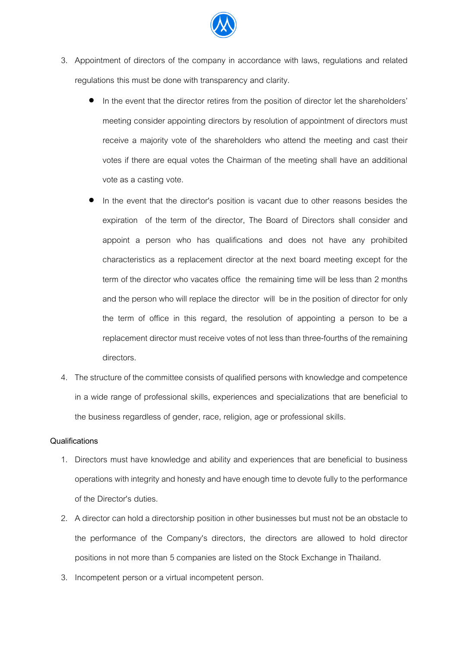

- 3. Appointment of directors of the company in accordance with laws, regulations and related regulations this must be done with transparency and clarity.
	- In the event that the director retires from the position of director let the shareholders' meeting consider appointing directors by resolution of appointment of directors must receive a majority vote of the shareholders who attend the meeting and cast their votes if there are equal votes the Chairman of the meeting shall have an additional vote as a casting vote.
	- In the event that the director's position is vacant due to other reasons besides the expiration of the term of the director, The Board of Directors shall consider and appoint a person who has qualifications and does not have any prohibited characteristics as a replacement director at the next board meeting except for the term of the director who vacates office the remaining time will be less than 2 months and the person who will replace the director will be in the position of director for only the term of office in this regard, the resolution of appointing a person to be a replacement director must receive votes of not less than three-fourths of the remaining directors.
- 4. The structure of the committee consists of qualified persons with knowledge and competence in a wide range of professional skills, experiences and specializations that are beneficial to the business regardless of gender, race, religion, age or professional skills.

## **Qualifications**

- 1. Directors must have knowledge and ability and experiences that are beneficial to business operations with integrity and honesty and have enough time to devote fully to the performance of the Director's duties.
- 2. A director can hold a directorship position in other businesses but must not be an obstacle to the performance of the Company's directors, the directors are allowed to hold director positions in not more than 5 companies are listed on the Stock Exchange in Thailand.
- 3. Incompetent person or a virtual incompetent person.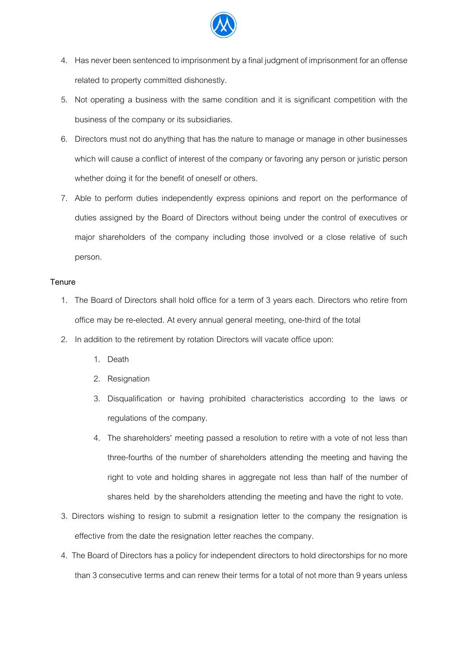

- 4. Has never been sentenced to imprisonment by a final judgment of imprisonment for an offense related to property committed dishonestly.
- 5. Not operating a business with the same condition and it is significant competition with the business of the company or its subsidiaries.
- 6. Directors must not do anything that has the nature to manage or manage in other businesses which will cause a conflict of interest of the company or favoring any person or juristic person whether doing it for the benefit of oneself or others.
- 7. Able to perform duties independently express opinions and report on the performance of duties assigned by the Board of Directors without being under the control of executives or major shareholders of the company including those involved or a close relative of such person.

## **Tenure**

- 1. The Board of Directors shall hold office for a term of 3 years each. Directors who retire from office may be re-elected. At every annual general meeting, one-third of the total
- 2. In addition to the retirement by rotation Directors will vacate office upon:
	- 1. Death
	- 2. Resignation
	- 3. Disqualification or having prohibited characteristics according to the laws or regulations of the company.
	- 4. The shareholders' meeting passed a resolution to retire with a vote of not less than three-fourths of the number of shareholders attending the meeting and having the right to vote and holding shares in aggregate not less than half of the number of shares held by the shareholders attending the meeting and have the right to vote.
- 3. Directors wishing to resign to submit a resignation letter to the company the resignation is effective from the date the resignation letter reaches the company.
- 4. The Board of Directors has a policy for independent directors to hold directorships for no more than 3 consecutive terms and can renew their terms for a total of not more than 9 years unless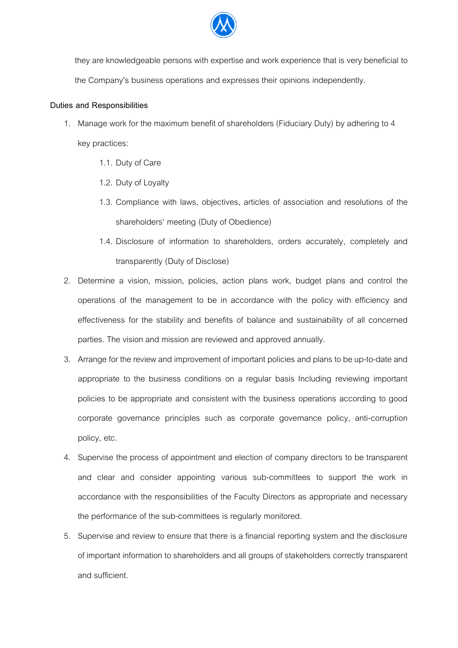

they are knowledgeable persons with expertise and work experience that is very beneficial to the Company's business operations and expresses their opinions independently.

## **Duties and Responsibilities**

- 1. Manage work for the maximum benefit of shareholders (Fiduciary Duty) by adhering to 4 key practices:
	- 1.1. Duty of Care
	- 1.2. Duty of Loyalty
	- 1.3. Compliance with laws, objectives, articles of association and resolutions of the shareholders' meeting (Duty of Obedience)
	- 1.4. Disclosure of information to shareholders, orders accurately, completely and transparently (Duty of Disclose)
- 2. Determine a vision, mission, policies, action plans work, budget plans and control the operations of the management to be in accordance with the policy with efficiency and effectiveness for the stability and benefits of balance and sustainability of all concerned parties. The vision and mission are reviewed and approved annually.
- 3. Arrange for the review and improvement of important policies and plans to be up-to-date and appropriate to the business conditions on a regular basis Including reviewing important policies to be appropriate and consistent with the business operations according to good corporate governance principles such as corporate governance policy, anti-corruption policy, etc.
- 4. Supervise the process of appointment and election of company directors to be transparent and clear and consider appointing various sub-committees to support the work in accordance with the responsibilities of the Faculty Directors as appropriate and necessary the performance of the sub-committees is regularly monitored.
- 5. Supervise and review to ensure that there is a financial reporting system and the disclosure of important information to shareholders and all groups of stakeholders correctly transparent and sufficient.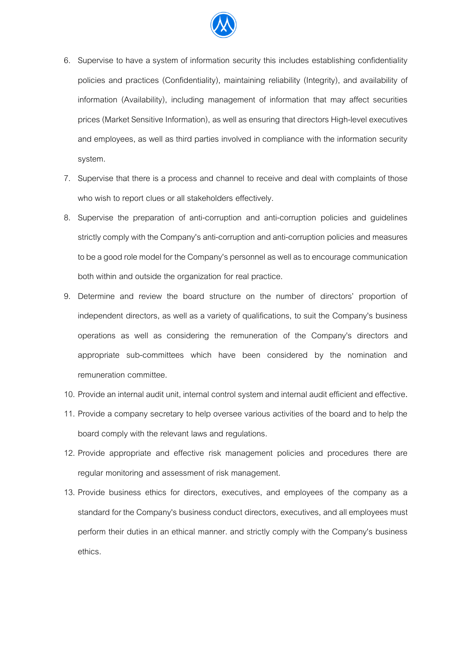

- 6. Supervise to have a system of information security this includes establishing confidentiality policies and practices (Confidentiality), maintaining reliability (Integrity), and availability of information (Availability), including management of information that may affect securities prices (Market Sensitive Information), as well as ensuring that directors High-level executives and employees, as well as third parties involved in compliance with the information security system.
- 7. Supervise that there is a process and channel to receive and deal with complaints of those who wish to report clues or all stakeholders effectively.
- 8. Supervise the preparation of anti-corruption and anti-corruption policies and guidelines strictly comply with the Company's anti-corruption and anti-corruption policies and measures to be a good role model for the Company's personnel as well as to encourage communication both within and outside the organization for real practice.
- 9. Determine and review the board structure on the number of directors' proportion of independent directors, as well as a variety of qualifications, to suit the Company's business operations as well as considering the remuneration of the Company's directors and appropriate sub-committees which have been considered by the nomination and remuneration committee.
- 10. Provide an internal audit unit, internal control system and internal audit efficient and effective**.**
- 11. Provide a company secretary to help oversee various activities of the board and to help the board comply with the relevant laws and regulations.
- 12. Provide appropriate and effective risk management policies and procedures there are regular monitoring and assessment of risk management.
- 13. Provide business ethics for directors, executives, and employees of the company as a standard for the Company's business conduct directors, executives, and all employees must perform their duties in an ethical manner. and strictly comply with the Company's business ethics.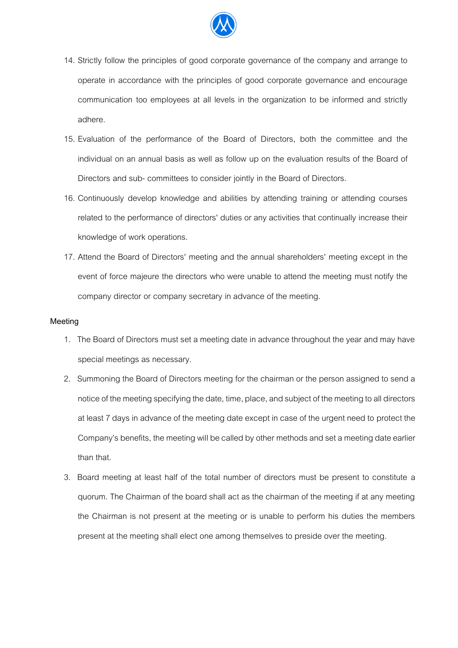

- 14. Strictly follow the principles of good corporate governance of the company and arrange to operate in accordance with the principles of good corporate governance and encourage communication too employees at all levels in the organization to be informed and strictly adhere.
- 15. Evaluation of the performance of the Board of Directors, both the committee and the individual on an annual basis as well as follow up on the evaluation results of the Board of Directors and sub- committees to consider jointly in the Board of Directors.
- 16. Continuously develop knowledge and abilities by attending training or attending courses related to the performance of directors' duties or any activities that continually increase their knowledge of work operations.
- 17. Attend the Board of Directors' meeting and the annual shareholders' meeting except in the event of force majeure the directors who were unable to attend the meeting must notify the company director or company secretary in advance of the meeting.

#### **Meeting**

- 1. The Board of Directors must set a meeting date in advance throughout the year and may have special meetings as necessary.
- 2. Summoning the Board of Directors meeting for the chairman or the person assigned to send a notice of the meeting specifying the date, time, place, and subject of the meeting to all directors at least 7 days in advance of the meeting date except in case of the urgent need to protect the Company's benefits, the meeting will be called by other methodsand set a meeting date earlier than that.
- 3. Board meeting at least half of the total number of directors must be present to constitute a quorum. The Chairman of the board shall act as the chairman of the meeting if at any meeting the Chairman is not present at the meeting or is unable to perform his duties the members present at the meeting shall elect one among themselves to preside over the meeting.